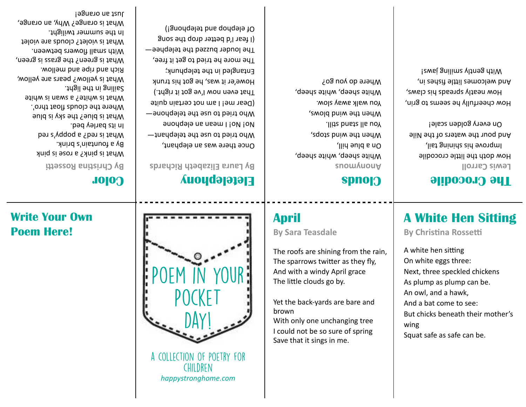COLLECTION OF POFTRY FOR CHII DREN *happystronghome.com* 



# **Poem Here!**

## **Write Your Own**

## **Color**

**By Christina Rossetti** 

What is pink? a rose is pink By a fountain's brink. What is red? a poppy's red In its barley bed. What is blue? the sky is blue Where the clouds float thro'. What is white? a swan is white Sailing in the light. What is yellow? pears are yellow, Rich and ripe and mellow. What is green? the grass is green, With small flowers between. What is violet? clouds are violet In the summer twilight. What is orange? Why, an orange, Just an orange!

### **Eletelephony**  By Laura Elizabeth Richards

Who tried to use the telephant— No i no i no be be buoue Who tried to use the telephone— (Dear me! I am not certain quite That even now I've got it right.) Howe'er it was, he got his trunk Entangled in the telephunk; The more he tried to get it free, The louder buzzed the telephee— (I fear I'd better drop the song Of elephop and telephong!)

Once there was an elebpant,

**April** 

brown 

**By Sara Teasdale** 

The little clouds go by.

Save that it sings in me.

The roofs are shining from the rain, The sparrows twitter as they fly, And with a windy April grace

Yet the back-yards are bare and

With only one unchanging tree I could not be so sure of spring

### **Clouds**

White sheep, white sheep, White sheep, white sheep, Where do you go?

snow **Auouty** Ilid suld a nO When the wind stops, You all stand still. When the wind blows, **WOIS VEWE Allew uOY** 

How doth the little crocodile Iist gninine *ein* evonqml On every golden scale!

And pour the waters of the Nile

How cheerfully he seems to grin, How neatly spreads his claws,

And welcomes little fishes in, I ewailing young have!

Lewis Carroll

## **The Crocodile**

# **A White Hen Sitting**

**By Christina Rossetti** 

A white hen sitting On white eggs three: Next, three speckled chickens As plump as plump can be. An owl, and a hawk, And a bat come to see: But chicks beneath their mother's wing Squat safe as safe can be.